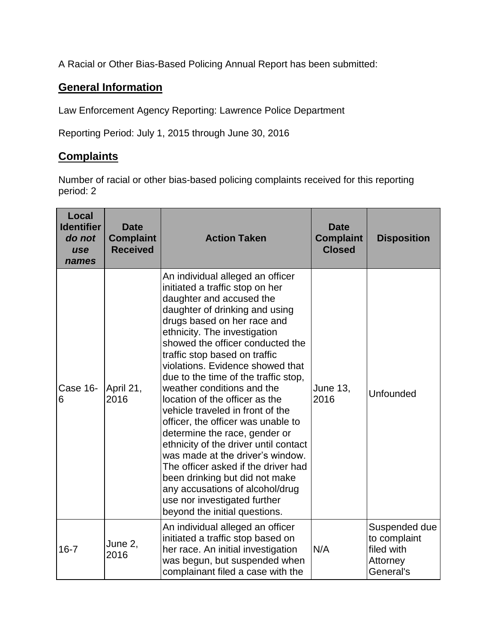A Racial or Other Bias-Based Policing Annual Report has been submitted:

## **General Information**

Law Enforcement Agency Reporting: Lawrence Police Department

Reporting Period: July 1, 2015 through June 30, 2016

## **Complaints**

Number of racial or other bias-based policing complaints received for this reporting period: 2

| Local<br><b>Identifier</b><br>do not<br>use<br>names | <b>Date</b><br><b>Complaint</b><br><b>Received</b> | <b>Action Taken</b>                                                                                                                                                                                                                                                                                                                                                                                                                                                                                                                                                                                                                                                                                                                                                                    | <b>Date</b><br><b>Complaint</b><br><b>Closed</b> | <b>Disposition</b>                                                   |
|------------------------------------------------------|----------------------------------------------------|----------------------------------------------------------------------------------------------------------------------------------------------------------------------------------------------------------------------------------------------------------------------------------------------------------------------------------------------------------------------------------------------------------------------------------------------------------------------------------------------------------------------------------------------------------------------------------------------------------------------------------------------------------------------------------------------------------------------------------------------------------------------------------------|--------------------------------------------------|----------------------------------------------------------------------|
| Case 16-<br>6                                        | April 21,<br>2016                                  | An individual alleged an officer<br>initiated a traffic stop on her<br>daughter and accused the<br>daughter of drinking and using<br>drugs based on her race and<br>ethnicity. The investigation<br>showed the officer conducted the<br>traffic stop based on traffic<br>violations. Evidence showed that<br>due to the time of the traffic stop,<br>weather conditions and the<br>location of the officer as the<br>vehicle traveled in front of the<br>officer, the officer was unable to<br>determine the race, gender or<br>ethnicity of the driver until contact<br>was made at the driver's window.<br>The officer asked if the driver had<br>been drinking but did not make<br>any accusations of alcohol/drug<br>use nor investigated further<br>beyond the initial questions. | June 13,<br>2016                                 | Unfounded                                                            |
| $16 - 7$                                             | June 2,<br>2016                                    | An individual alleged an officer<br>initiated a traffic stop based on<br>her race. An initial investigation<br>was begun, but suspended when<br>complainant filed a case with the                                                                                                                                                                                                                                                                                                                                                                                                                                                                                                                                                                                                      | N/A                                              | Suspended due<br>to complaint<br>filed with<br>Attorney<br>General's |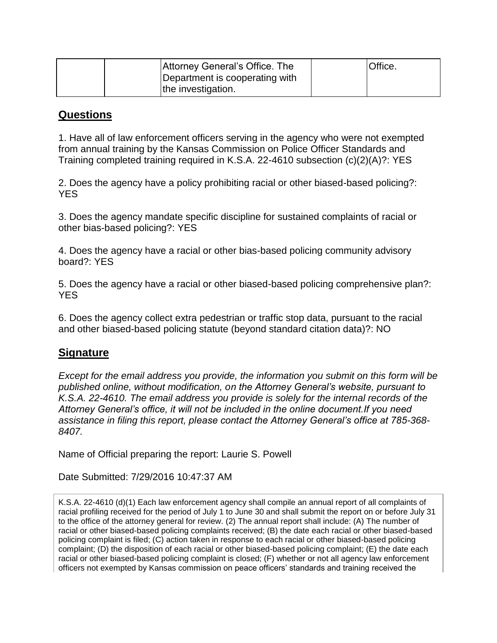|  | Attorney General's Office. The | Office. |
|--|--------------------------------|---------|
|  | Department is cooperating with |         |
|  | the investigation.             |         |

## **Questions**

1. Have all of law enforcement officers serving in the agency who were not exempted from annual training by the Kansas Commission on Police Officer Standards and Training completed training required in K.S.A. 22-4610 subsection (c)(2)(A)?: YES

2. Does the agency have a policy prohibiting racial or other biased-based policing?: YES

3. Does the agency mandate specific discipline for sustained complaints of racial or other bias-based policing?: YES

4. Does the agency have a racial or other bias-based policing community advisory board?: YES

5. Does the agency have a racial or other biased-based policing comprehensive plan?: **YES** 

6. Does the agency collect extra pedestrian or traffic stop data, pursuant to the racial and other biased-based policing statute (beyond standard citation data)?: NO

## **Signature**

*Except for the email address you provide, the information you submit on this form will be published online, without modification, on the Attorney General's website, pursuant to K.S.A. 22-4610. The email address you provide is solely for the internal records of the Attorney General's office, it will not be included in the online document.If you need assistance in filing this report, please contact the Attorney General's office at 785-368- 8407.*

Name of Official preparing the report: Laurie S. Powell

Date Submitted: 7/29/2016 10:47:37 AM

K.S.A. 22-4610 (d)(1) Each law enforcement agency shall compile an annual report of all complaints of racial profiling received for the period of July 1 to June 30 and shall submit the report on or before July 31 to the office of the attorney general for review. (2) The annual report shall include: (A) The number of racial or other biased-based policing complaints received; (B) the date each racial or other biased-based policing complaint is filed; (C) action taken in response to each racial or other biased-based policing complaint; (D) the disposition of each racial or other biased-based policing complaint; (E) the date each racial or other biased-based policing complaint is closed; (F) whether or not all agency law enforcement officers not exempted by Kansas commission on peace officers' standards and training received the